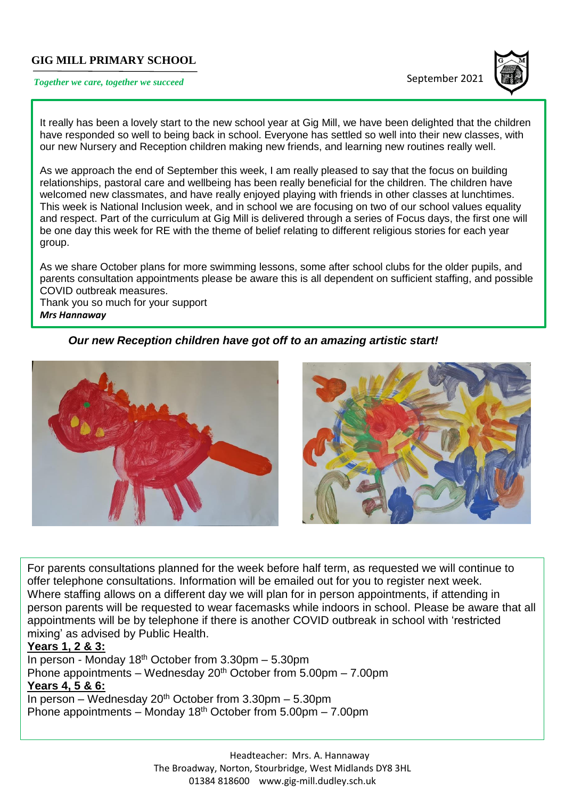## **GIG MILL PRIMARY SCHOOL**

# **Together we care, together we succeed September 2021**



It really has been a lovely start to the new school year at Gig Mill, we have been delighted that the children have responded so well to being back in school. Everyone has settled so well into their new classes, with our new Nursery and Reception children making new friends, and learning new routines really well.

As we approach the end of September this week, I am really pleased to say that the focus on building relationships, pastoral care and wellbeing has been really beneficial for the children. The children have welcomed new classmates, and have really enjoyed playing with friends in other classes at lunchtimes. This week is National Inclusion week, and in school we are focusing on two of our school values equality and respect. Part of the curriculum at Gig Mill is delivered through a series of Focus days, the first one will be one day this week for RE with the theme of belief relating to different religious stories for each year group.

As we share October plans for more swimming lessons, some after school clubs for the older pupils, and parents consultation appointments please be aware this is all dependent on sufficient staffing, and possible COVID outbreak measures.

Thank you so much for your support *Mrs Hannaway*

*Our new Reception children have got off to an amazing artistic start!*



For parents consultations planned for the week before half term, as requested we will continue to offer telephone consultations. Information will be emailed out for you to register next week. Where staffing allows on a different day we will plan for in person appointments, if attending in person parents will be requested to wear facemasks while indoors in school. Please be aware that all appointments will be by telephone if there is another COVID outbreak in school with 'restricted mixing' as advised by Public Health.

## **Years 1, 2 & 3:**

In person - Monday 18<sup>th</sup> October from  $3.30$ pm – 5.30pm Phone appointments – Wednesday  $20<sup>th</sup>$  October from 5.00pm – 7.00pm **Years 4, 5 & 6:** 

In person – Wednesday 20<sup>th</sup> October from 3.30pm – 5.30pm Phone appointments – Monday 18<sup>th</sup> October from  $5.00 \text{pm}$  – 7.00pm

> Headteacher: Mrs. A. Hannaway The Broadway, Norton, Stourbridge, West Midlands DY8 3HL 01384 818600 [www.gig-mill.dudley.sch.uk](http://www.gig-mill.dudley.sch.uk/)